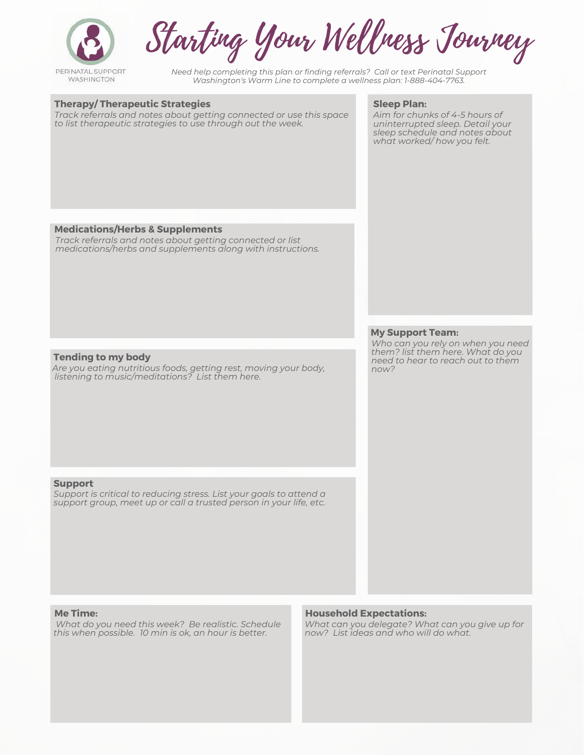

Starting Your Wellness Journey

*Need help completing this plan or finding referrals? Call or text Perinatal Support Washington's Warm Line to complete a wellness plan: 1-888-404-7763.*

#### **Therapy/ Therapeutic Strategies**

*Track referrals and notes about getting connected or use this space to list therapeutic strategies to use through out the week.* 

#### **Sleep Plan:**

*Aim for chunks of 4-5 hours of uninterrupted sleep. Detail your sleep schedule and notes about what worked/ how you felt.* 

#### **Medications/Herbs & Supplements**

*Track referrals and notes about getting connected or list medications/herbs and supplements along with instructions.* 

#### **My Support Team:**

*Who can you rely on when you need them? list them here. What do you need to hear to reach out to them now?* 

#### **Tending to my body**

*Are you eating nutritious foods, getting rest, moving your body, listening to music/meditations? List them here.*

#### **Support**

*Support is critical to reducing stress. List your goals to attend a support group, meet up or call a trusted person in your life, etc.* 

#### **Me Time:**

 *What do you need this week? Be realistic. Schedule this when possible. 10 min is ok, an hour is better.* 

#### **Household Expectations:**

*What can you delegate? What can you give up for now? List ideas and who will do what.*